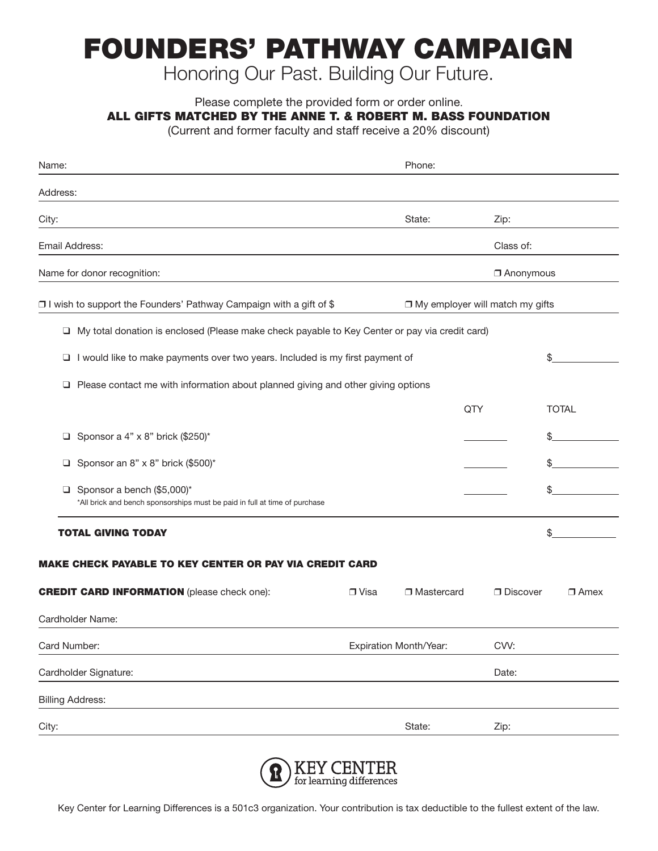## FOUNDERS' PATHWAY CAMPAIGN

Honoring Our Past. Building Our Future.

Please complete the provided form or order online.

ALL GIFTS MATCHED BY THE ANNE T. & ROBERT M. BASS FOUNDATION

(Current and former faculty and staff receive a 20% discount)

| Name:                                                                                                         |                        | Phone:                            |                 |              |  |
|---------------------------------------------------------------------------------------------------------------|------------------------|-----------------------------------|-----------------|--------------|--|
| Address:                                                                                                      |                        |                                   |                 |              |  |
| City:                                                                                                         |                        | State:                            | Zip:            |              |  |
| Email Address:                                                                                                |                        |                                   | Class of:       |              |  |
| Name for donor recognition:                                                                                   |                        |                                   | Anonymous       |              |  |
| □ I wish to support the Founders' Pathway Campaign with a gift of \$                                          |                        | □ My employer will match my gifts |                 |              |  |
| My total donation is enclosed (Please make check payable to Key Center or pay via credit card)<br>□           |                        |                                   |                 |              |  |
| I would like to make payments over two years. Included is my first payment of<br>❏                            |                        |                                   |                 | \$           |  |
| Please contact me with information about planned giving and other giving options<br>⊔                         |                        |                                   |                 |              |  |
|                                                                                                               |                        | QTY                               |                 | <b>TOTAL</b> |  |
| Sponsor a 4" x 8" brick (\$250)*<br>⊔                                                                         |                        |                                   |                 | \$           |  |
| Sponsor an 8" x 8" brick (\$500)*<br>О                                                                        |                        |                                   |                 | \$           |  |
| Sponsor a bench (\$5,000)*<br>❏<br>*All brick and bench sponsorships must be paid in full at time of purchase |                        |                                   |                 | \$           |  |
| <b>TOTAL GIVING TODAY</b>                                                                                     |                        |                                   |                 | \$           |  |
| <b>MAKE CHECK PAYABLE TO KEY CENTER OR PAY VIA CREDIT CARD</b>                                                |                        |                                   |                 |              |  |
| <b>CREDIT CARD INFORMATION</b> (please check one):                                                            | $\Box$ Visa            | □ Mastercard                      | $\Box$ Discover | $\Box$ Amex  |  |
| Cardholder Name:                                                                                              |                        |                                   |                 |              |  |
| Card Number:                                                                                                  | Expiration Month/Year: |                                   | CVV:            |              |  |
| Cardholder Signature:                                                                                         |                        |                                   | Date:           |              |  |
| <b>Billing Address:</b>                                                                                       |                        |                                   |                 |              |  |
| City:                                                                                                         |                        | State:                            | Zip:            |              |  |
|                                                                                                               |                        |                                   |                 |              |  |



Key Center for Learning Differences is a 501c3 organization. Your contribution is tax deductible to the fullest extent of the law.